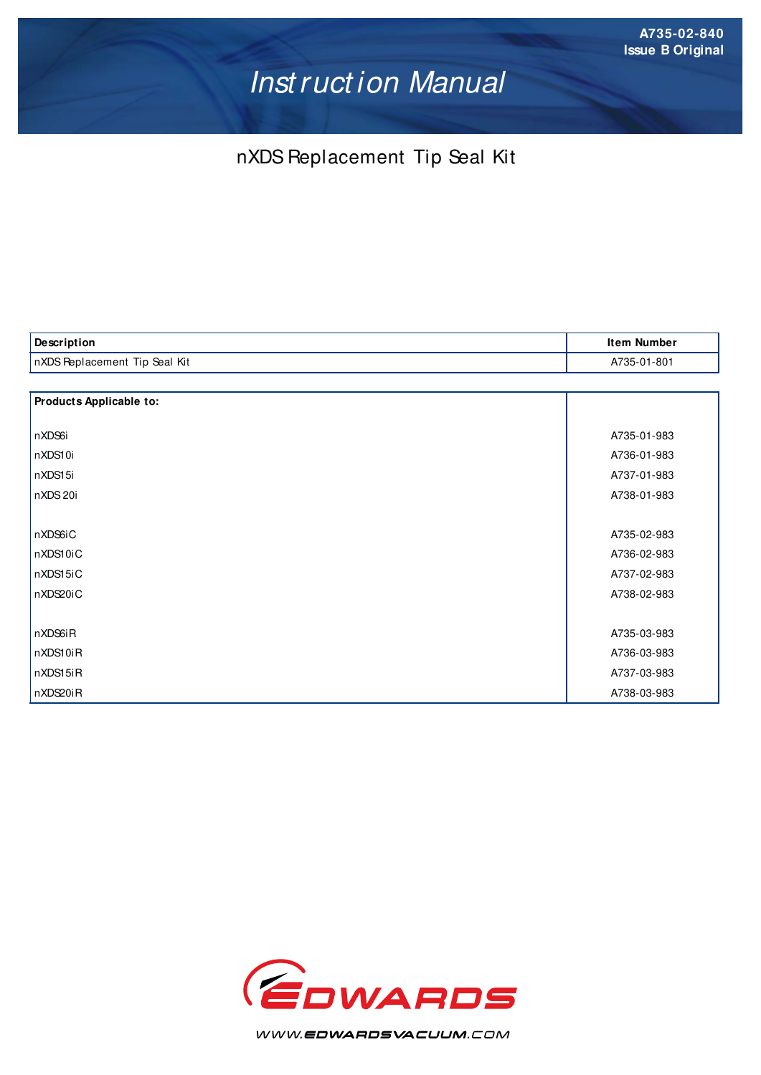# Inst ruct ion Manual

### nXDS Replacement Tip Seal Kit

| Description                   | <b>Item Number</b> |
|-------------------------------|--------------------|
| nXDS Replacement Tip Seal Kit | A735-01-801        |

| <b>Products Applicable to:</b> |             |
|--------------------------------|-------------|
|                                |             |
| nXDS6i                         | A735-01-983 |
| nXDS10i                        | A736-01-983 |
| nXDS15i                        | A737-01-983 |
| nXDS 20i                       | A738-01-983 |
|                                |             |
| nXDS6iC                        | A735-02-983 |
| nXDS10iC                       | A736-02-983 |
| nXDS15iC                       | A737-02-983 |
| nXDS20iC                       | A738-02-983 |
|                                |             |
| nXDS6iR                        | A735-03-983 |
| nXDS10iR                       | A736-03-983 |
| nXDS15iR                       | A737-03-983 |
| nXDS20iR                       | A738-03-983 |



WWW.EDWARDSVACUUM.COM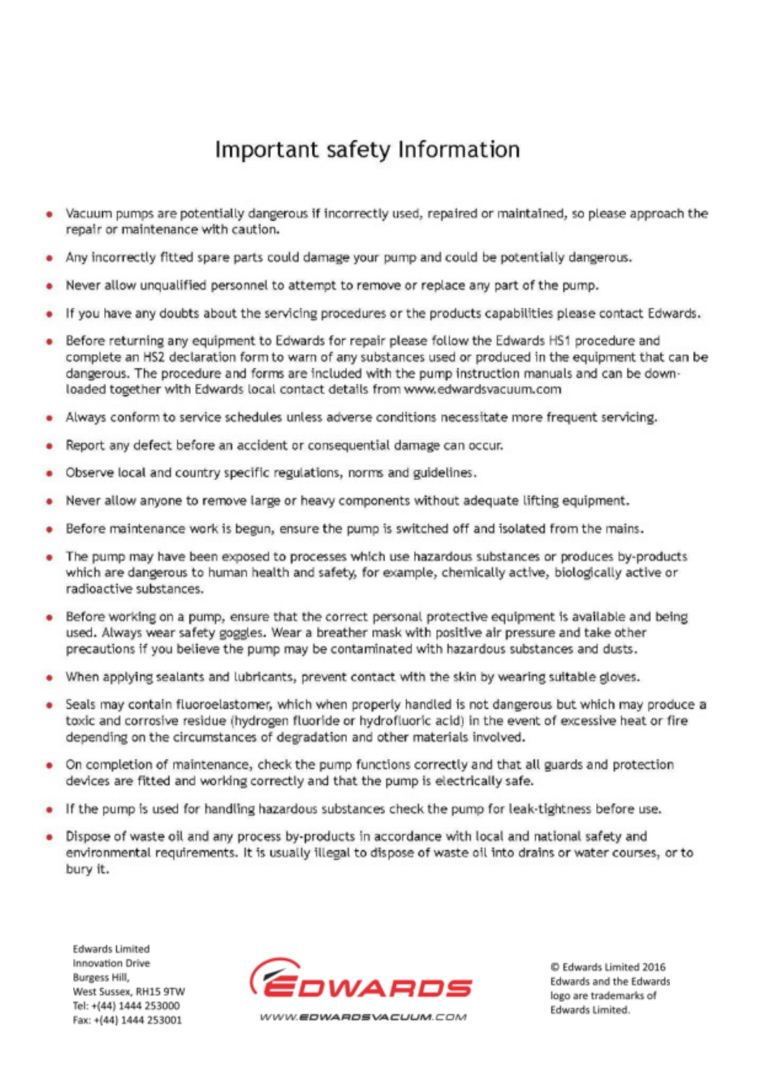### Important safety Information

- Vacuum pumps are potentially dangerous if incorrectly used, repaired or maintained, so please approach the repair or maintenance with caution.
- . Any incorrectly fitted spare parts could damage your pump and could be potentially dangerous.
- Never allow unqualified personnel to attempt to remove or replace any part of the pump.
- If you have any doubts about the servicing procedures or the products capabilities please contact Edwards.
- Before returning any equipment to Edwards for repair please follow the Edwards HS1 procedure and complete an HS2 declaration form to warn of any substances used or produced in the equipment that can be dangerous. The procedure and forms are included with the pump instruction manuals and can be downloaded together with Edwards local contact details from www.edwardsvacuum.com
- Always conform to service schedules unless adverse conditions necessitate more frequent servicing.
- Report any defect before an accident or consequential damage can occur.
- Observe local and country specific regulations, norms and guidelines.
- Never allow anyone to remove large or heavy components without adequate lifting equipment.
- Before maintenance work is begun, ensure the pump is switched off and isolated from the mains.
- The pump may have been exposed to processes which use hazardous substances or produces by-products which are dangerous to human health and safety, for example, chemically active, biologically active or radioactive substances.
- Before working on a pump, ensure that the correct personal protective equipment is available and being used. Always wear safety goggles. Wear a breather mask with positive air pressure and take other precautions if you believe the pump may be contaminated with hazardous substances and dusts.
- When applying sealants and lubricants, prevent contact with the skin by wearing suitable gloves.
- Seals may contain fluoroelastomer, which when properly handled is not dangerous but which may produce a toxic and corrosive residue (hydrogen fluoride or hydrofluoric acid) in the event of excessive heat or fire depending on the circumstances of degradation and other materials involved.
- On completion of maintenance, check the pump functions correctly and that all guards and protection devices are fitted and working correctly and that the pump is electrically safe.
- If the pump is used for handling hazardous substances check the pump for leak-tightness before use.
- Dispose of waste oil and any process by-products in accordance with local and national safety and environmental requirements. It is usually illegal to dispose of waste oil into drains or water courses, or to bury it.

**Edwards Limited** Innovation Drive **Burgess Hill,** West Sussex, RH15 9TW Tel: +(44) 1444 253000 Fax: +(44) 1444 253001



C Edwards Limited 2016 Edwards and the Edwards logo are trademarks of Edwards Limited.

WWW.EDWARDSVACUUM.COM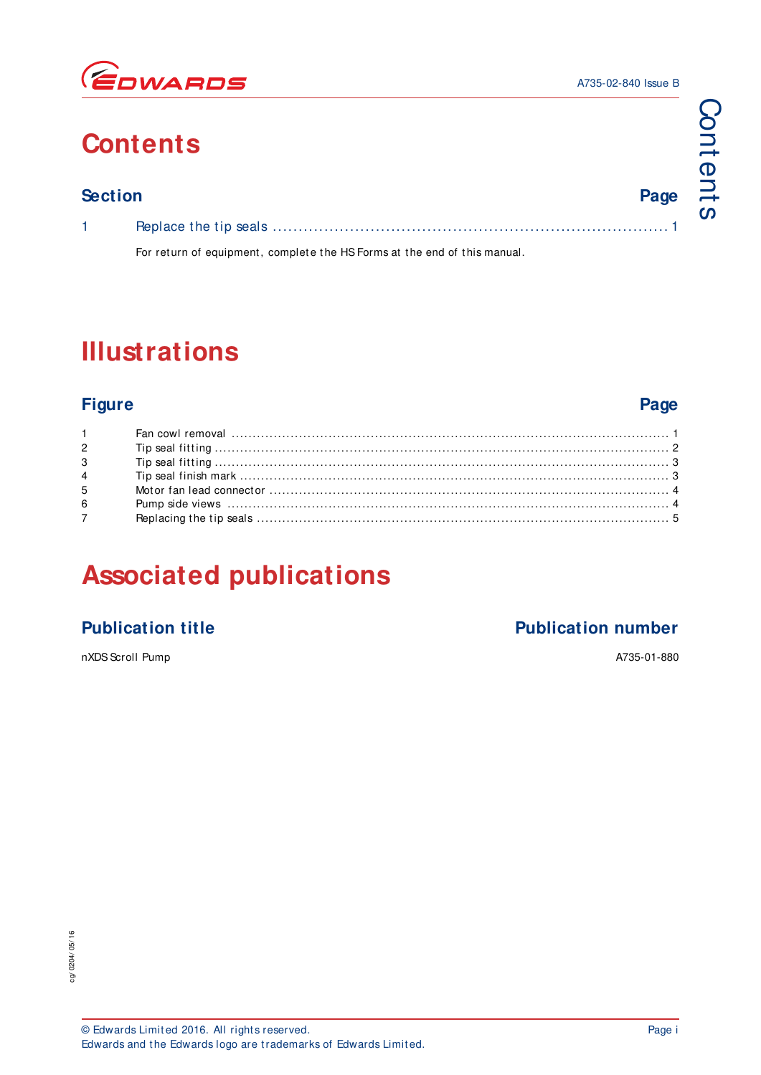

# **Contents**

| <b>Section</b> |                                                                           | Page |  |
|----------------|---------------------------------------------------------------------------|------|--|
|                |                                                                           |      |  |
|                | For return of equipment, complete the HS Forms at the end of this manual. |      |  |

# **Illustrations**

### **Figure Page**

| $1 \qquad \qquad$ |  |
|-------------------|--|
| $\overline{2}$    |  |
| $3^{\circ}$       |  |
| $4\overline{ }$   |  |
| $5^{\circ}$       |  |
| $6 -$             |  |
| $7^{\circ}$       |  |

## **Associated publications**

nXDS Scroll Pump A735-01-880

### **Publication title Publication number**

#### A735-02-840 Issue B

Cont ent s

Contents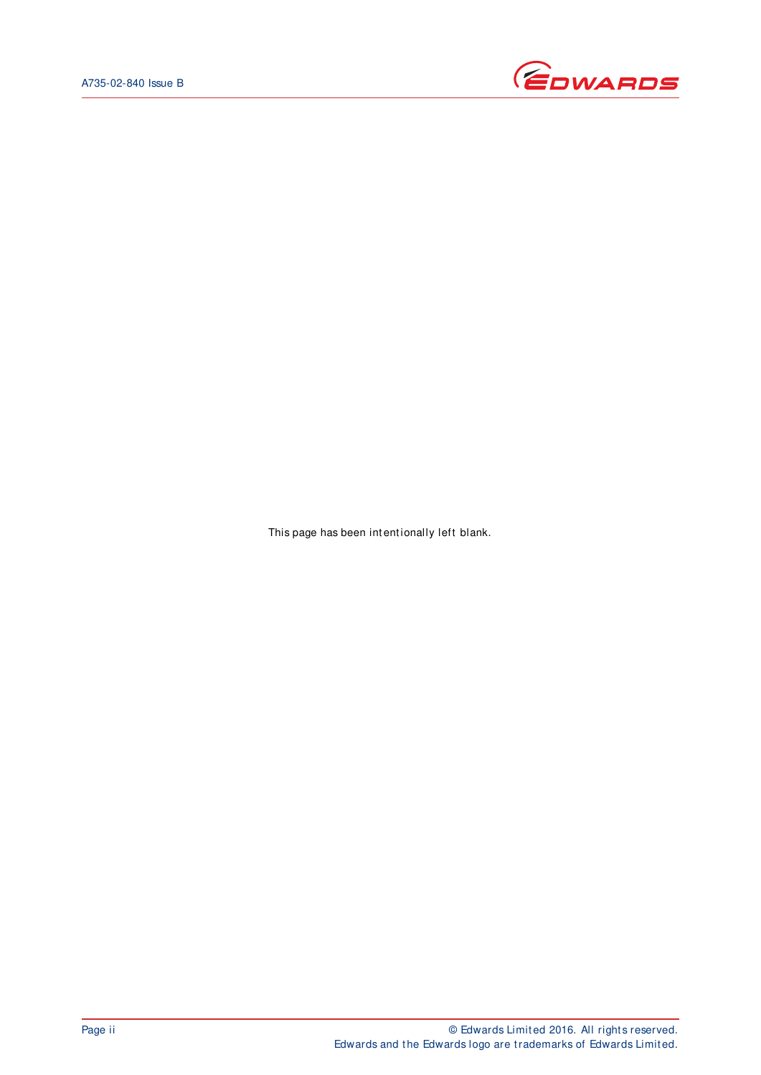

This page has been int ent ionally left blank.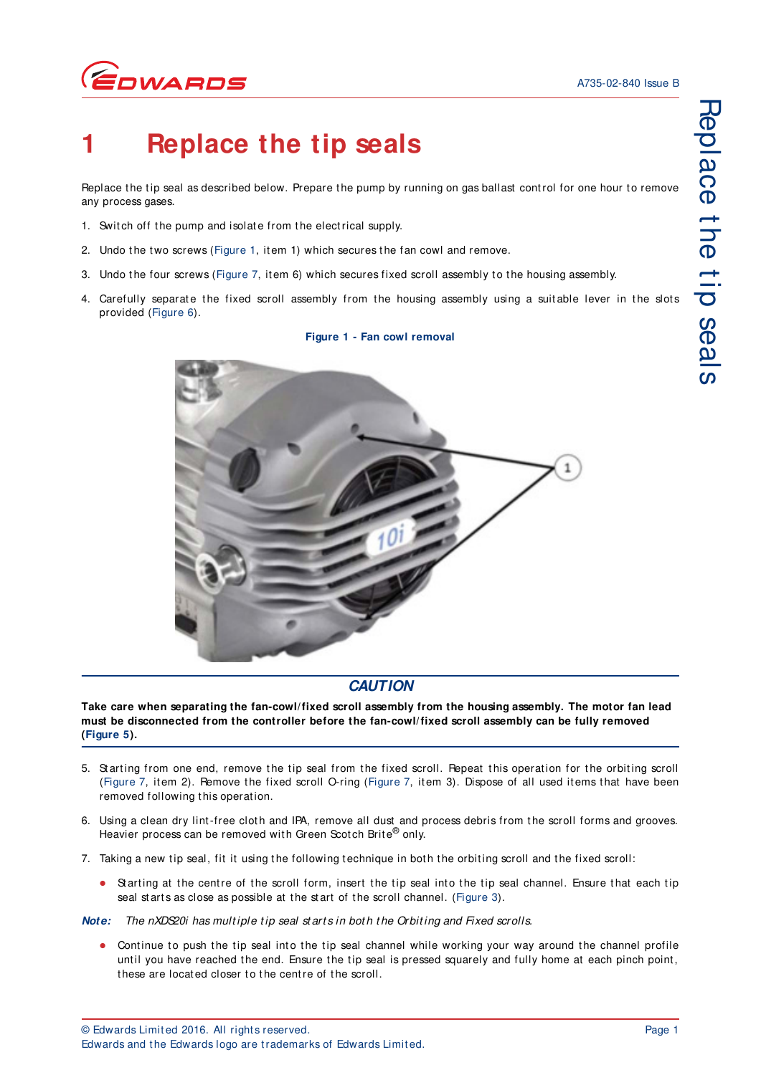

# <span id="page-4-0"></span>**1 Replace the tip seals**

Replace the tip seal as described below. Prepare the pump by running on gas ballast control for one hour to remove any process gases.

- 1. Switch off the pump and isolate from the electrical supply.
- 2. Undo the two screws ([Figure 1](#page-4-1), item 1) which secures the fan cowl and remove.
- 3. Undo the four screws ([Figure 7,](#page-8-0) item 6) which secures fixed scroll assembly to the housing assembly.
- <span id="page-4-1"></span>4. Carefully separate the fixed scroll assembly from the housing assembly using a suitable lever in the slots provided ([Figure 6\)](#page-7-1).

#### **Figure 1 - Fan cowl removal**



### **CAUTION**

**Take care when separating the fan-cowl/fixed scroll assembly from the housing assembly. The motor fan lead must be disconnected from the controller before the fan-cowl/ fixed scroll assembly can be fully removed ([Figure 5\)](#page-7-0).**

- 5. Starting from one end, remove the tip seal from the fixed scroll. Repeat this operation for the orbiting scroll ([Figure 7,](#page-8-0) item 2). Remove the fixed scroll O-ring (Figure 7, item 3). Dispose of all used items that have been removed following this operation.
- 6. Using a clean dry lint-free cloth and IPA, remove all dust and process debris from the scroll forms and grooves. Heavier process can be removed with Green Scotch Brite<sup>®</sup> only.
- 7. Taking a new tip seal, fit it using the following technique in both the orbiting scroll and the fixed scroll:
	- Starting at the centre of the scroll form, insert the tip seal into the tip seal channel. Ensure that each tip seal starts as close as possible at the start of the scroll channel. ([Figure 3\)](#page-6-0).

**Note:** The nXDS20i has multiple tip seal starts in both the Orbiting and Fixed scrolls.

Continue to push the tip seal into the tip seal channel while working your way around the channel profile until you have reached the end. Ensure the tip seal is pressed squarely and fully home at each pinch point, these are located closer to the centre of the scroll.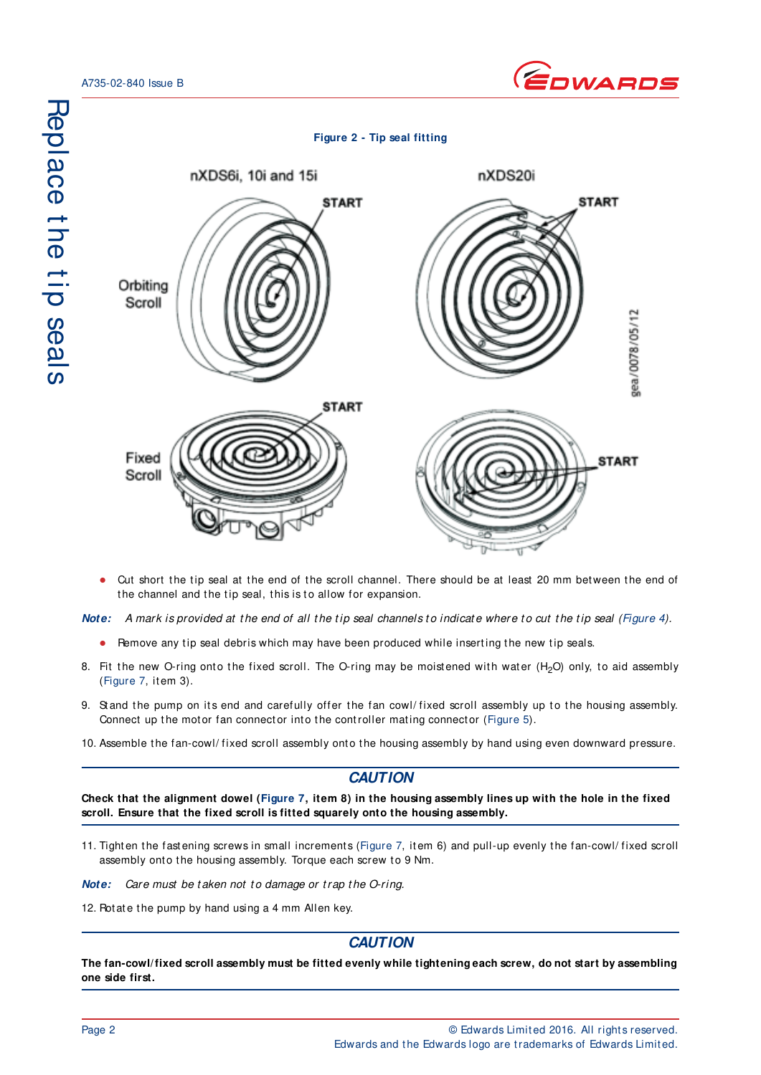Replace the tip seals



<span id="page-5-0"></span>

Cut short the tip seal at the end of the scroll channel. There should be at least 20 mm between the end of the channel and the tip seal, this is to allow for expansion.

**Note:** A mark is provided at the end of all the tip seal channels to indicate where to cut the tip seal ([Figure 4](#page-6-1)).

- $\bullet$  Remove any tip seal debris which may have been produced while inserting the new tip seals.
- 8. Fit the new O-ring onto the fixed scroll. The O-ring may be moistened with water  $(H<sub>2</sub>O)$  only, to aid assembly ([Figure 7,](#page-8-0) it em 3).
- 9. St and the pump on its end and carefully offer the fan cowl/fixed scroll assembly up to the housing assembly. Connect up the motor fan connector into the controller mating connector ([Figure 5](#page-7-0)).
- 10. Assemble the fan-cowl/fixed scroll assembly onto the housing assembly by hand using even downward pressure.

#### **CAUTION**

**Check that the alignment dowel ([Figure 7,](#page-8-0) item 8) in the housing assembly lines up with the hole in the fixed scroll. Ensure that the fixed scroll is fitted squarely onto the housing assembly.** 

11. Tight en the fast ening screws in small increments ([Figure 7,](#page-8-0) item 6) and pull-up evenly the fan-cowl/fixed scroll assembly onto the housing assembly. Torque each screw to 9 Nm.

Note: Care must be taken not to damage or trap the O-ring.

12. Rotate the pump by hand using a 4 mm Allen key.

### **CAUTION**

**The fan-cowl/ fixed scroll assembly must be fitted evenly while tightening each screw, do not start by assembling one side first.**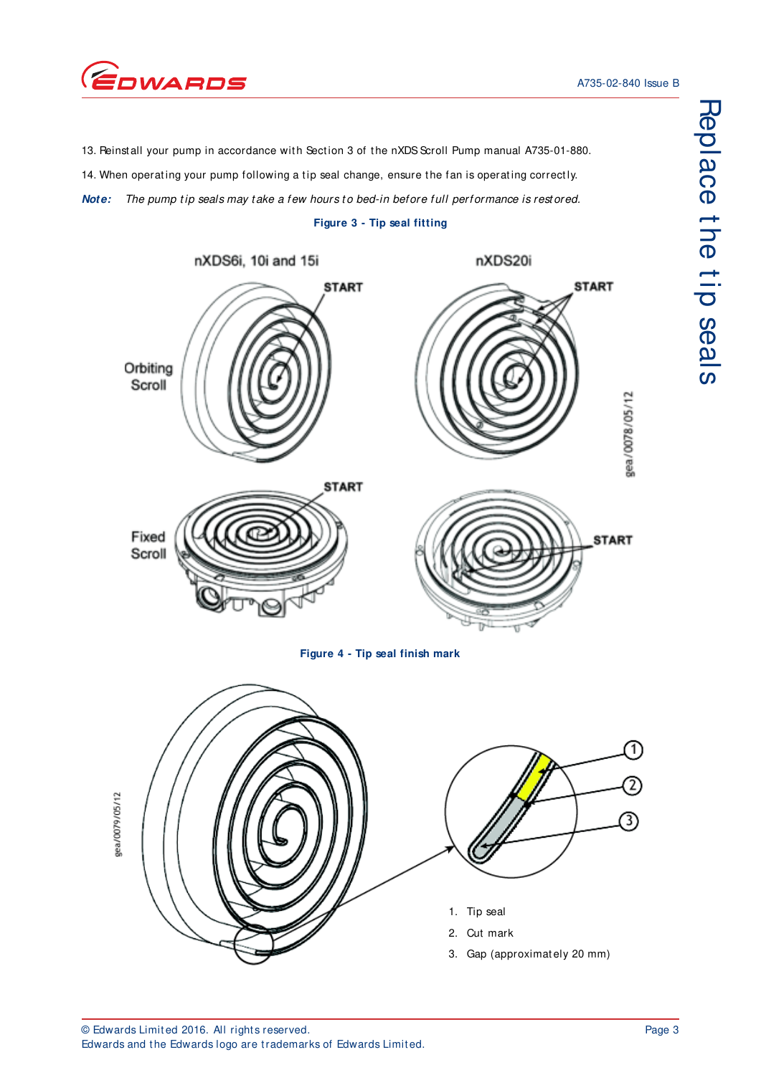

13. Reinst all your pump in accordance with Section 3 of the nXDS Scroll Pump manual A735-01-880.

14. When operating your pump following a tip seal change, ensure the fan is operating correctly.

<span id="page-6-0"></span>Note: The pump tip seals may take a few hours to bed-in before full performance is restored.





<span id="page-6-1"></span>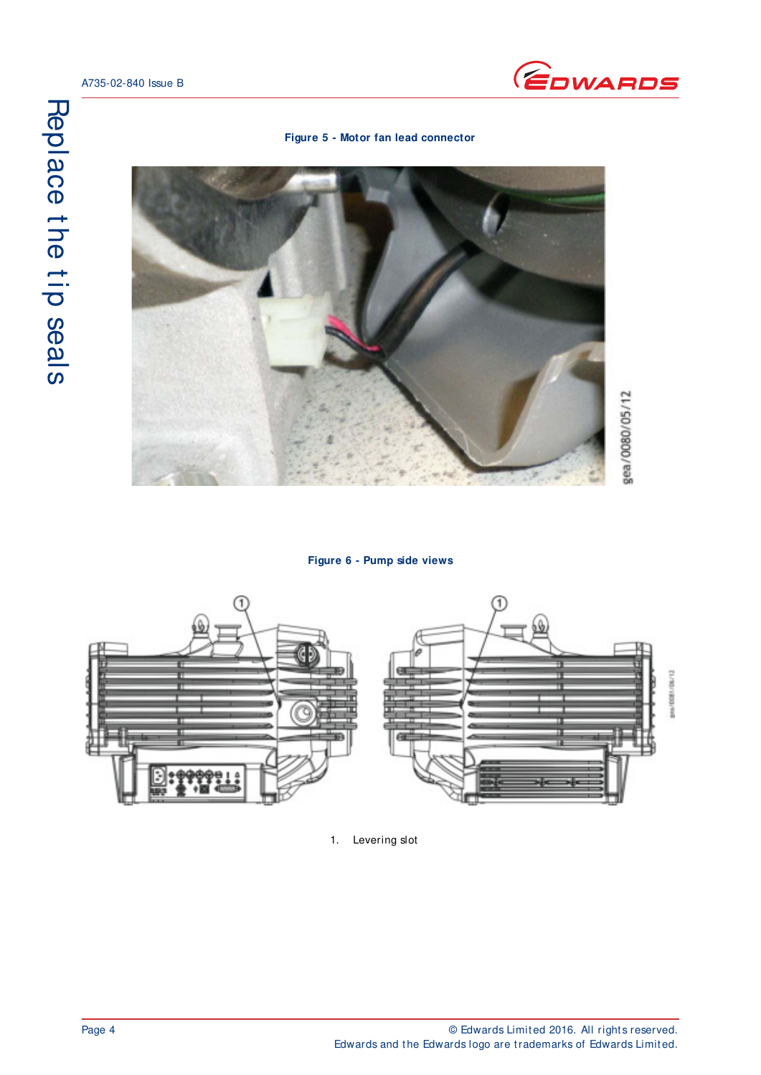

<span id="page-7-0"></span>

gea/0080/05/12

#### **Figure 6 - Pump side views**

<span id="page-7-1"></span>

1. Levering slot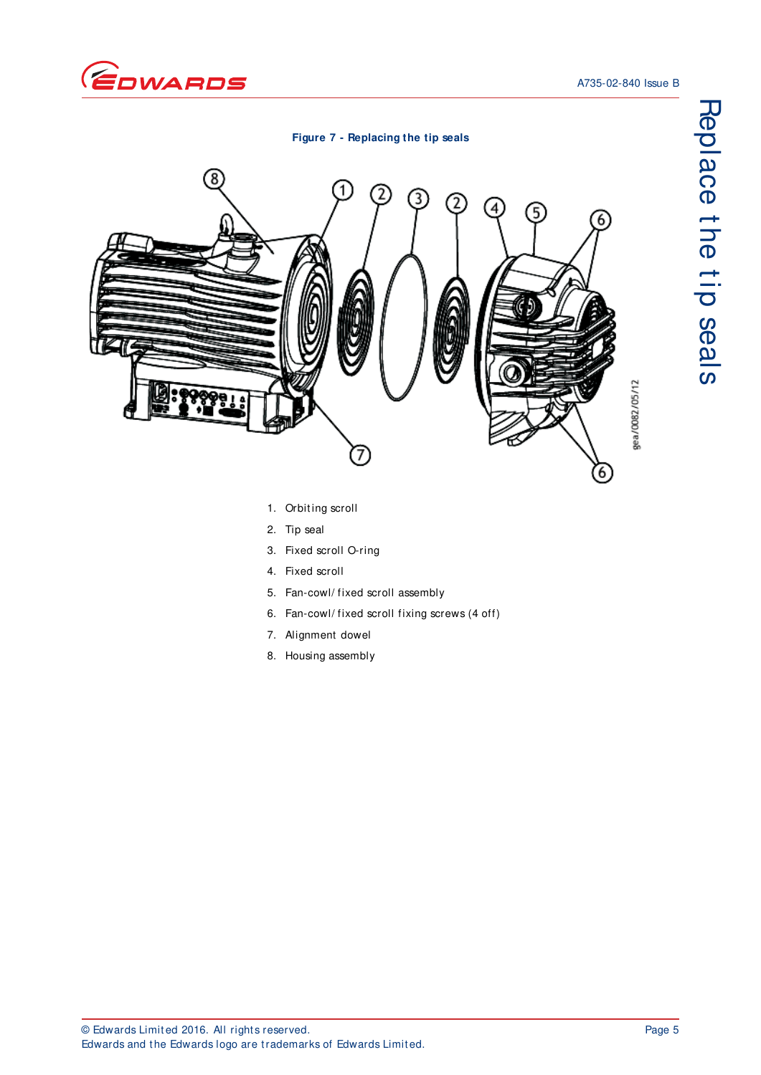

#### **Figure 7 - Replacing the tip seals**

<span id="page-8-0"></span>

Replace t he t ip seals

Replace the tip seals

- 1. Orbit ing scroll
- 2. Tip seal
- 3. Fixed scroll O-ring
- 4. Fixed scroll
- 5. Fan-cowl/ fixed scroll assembly
- 6. Fan-cowl/ fixed scroll fixing screws (4 off)
- 7. Alignment dowel
- 8. Housing assembly